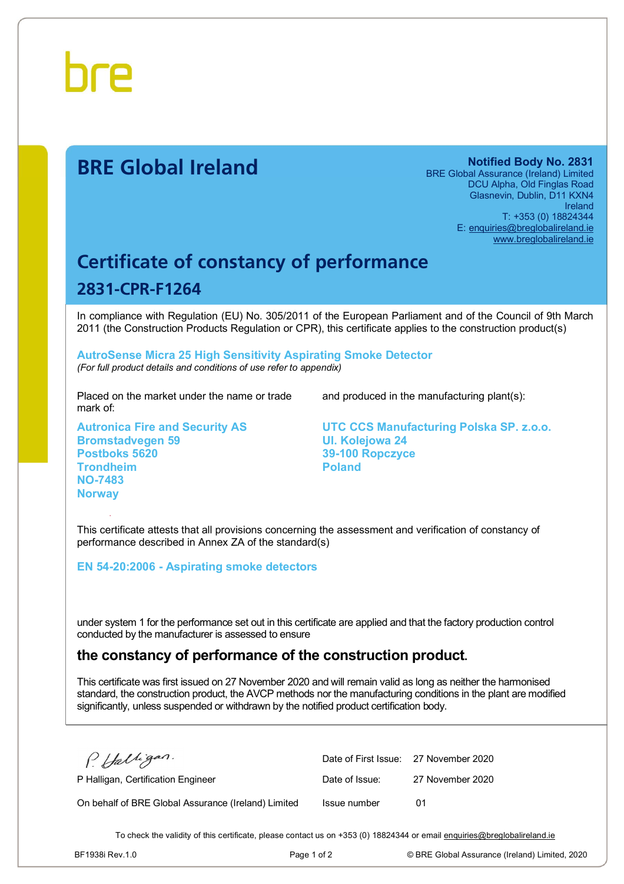

# **BRE Global Ireland Notified Body No. 2831**

BRE Global Assurance (Ireland) Limited DCU Alpha, Old Finglas Road Glasnevin, Dublin, D11 KXN4 Ireland T: +353 (0) 18824344 E: [enquiries@breglobalireland.ie](mailto:enquiries@breglobalireland.ie) [www.breglobalireland.ie](http://www.breglobalireland.ie)

# **Certificate of constancy of performance 2831-CPR-F1264**

In compliance with Regulation (EU) No. 305/2011 of the European Parliament and of the Council of 9th March 2011 (the Construction Products Regulation or CPR), this certificate applies to the construction product(s)

### **AutroSense Micra 25 High Sensitivity Aspirating Smoke Detector**  *(For full product details and conditions of use refer to appendix)*

Placed on the market under the name or trade mark of:

**Autronica Fire and Security AS Bromstadvegen 59 Postboks 5620 Trondheim NO-7483 Norway** 

and produced in the manufacturing plant(s):

**UTC CCS Manufacturing Polska SP. z.o.o. Ul. Kolejowa 24 39-100 Ropczyce Poland** 

This certificate attests that all provisions concerning the assessment and verification of constancy of performance described in Annex ZA of the standard(s)

**EN 54-20:2006 - Aspirating smoke detectors** 

under system 1 for the performance set out in this certificate are applied and that the factory production control conducted by the manufacturer is assessed to ensure

## **the constancy of performance of the construction product.**

This certificate was first issued on 27 November 2020 and will remain valid as long as neither the harmonised standard, the construction product, the AVCP methods nor the manufacturing conditions in the plant are modified significantly, unless suspended or withdrawn by the notified product certification body.

P. Halligan.

P Halligan, Certification Engineer

On behalf of BRE Global Assurance (Ireland) Limited

|                | Date of First Issue: 27 November 2020 |
|----------------|---------------------------------------|
| Date of Issue: | 27 November 2020                      |
| Issue number   | 01                                    |

To check the validity of this certificate, please contact us on +353 (0) 18824344 or email [enquiries@breglobalireland.ie](mailto:enquiries@breglobalireland.ie)